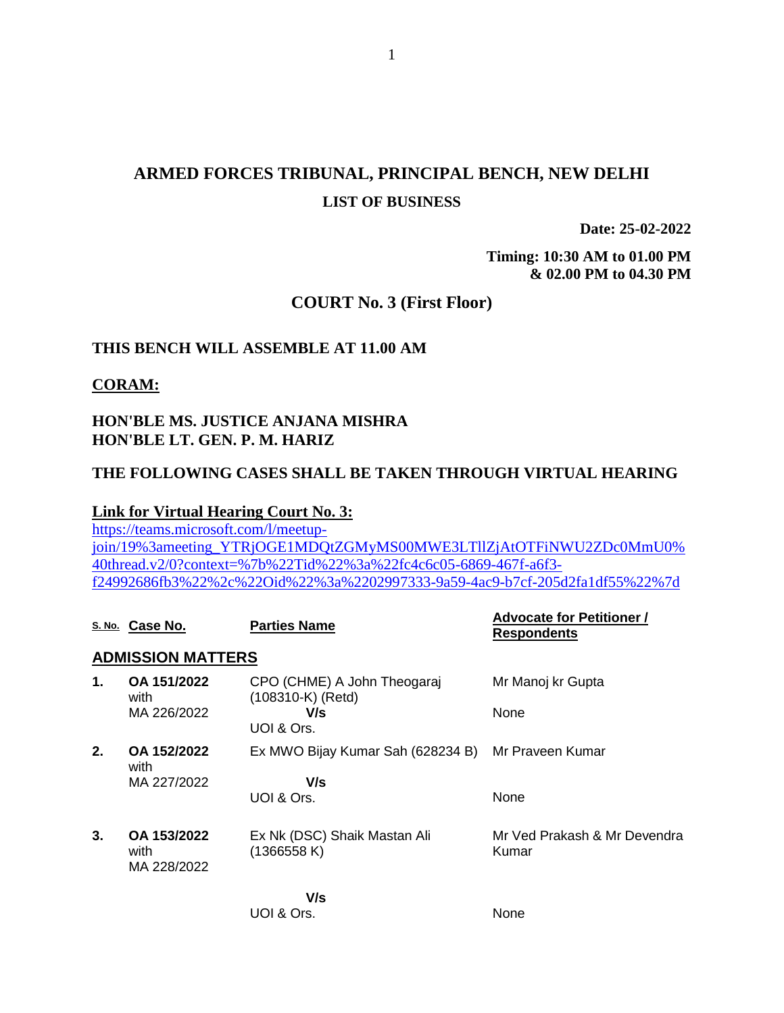# **ARMED FORCES TRIBUNAL, PRINCIPAL BENCH, NEW DELHI LIST OF BUSINESS**

**Date: 25-02-2022**

**Timing: 10:30 AM to 01.00 PM & 02.00 PM to 04.30 PM**

# **COURT No. 3 (First Floor)**

## **THIS BENCH WILL ASSEMBLE AT 11.00 AM**

### **CORAM:**

# **HON'BLE MS. JUSTICE ANJANA MISHRA HON'BLE LT. GEN. P. M. HARIZ**

UOI & Ors.

### **THE FOLLOWING CASES SHALL BE TAKEN THROUGH VIRTUAL HEARING**

### **Link for Virtual Hearing Court No. 3:**

[https://teams.microsoft.com/l/meetup](https://teams.microsoft.com/l/meetup-join/19%3ameeting_YTRjOGE1MDQtZGMyMS00MWE3LTllZjAtOTFiNWU2ZDc0MmU0%40thread.v2/0?context=%7b%22Tid%22%3a%22fc4c6c05-6869-467f-a6f3-f24992686fb3%22%2c%22Oid%22%3a%2202997333-9a59-4ac9-b7cf-205d2fa1df55%22%7d)[join/19%3ameeting\\_YTRjOGE1MDQtZGMyMS00MWE3LTllZjAtOTFiNWU2ZDc0MmU0%](https://teams.microsoft.com/l/meetup-join/19%3ameeting_YTRjOGE1MDQtZGMyMS00MWE3LTllZjAtOTFiNWU2ZDc0MmU0%40thread.v2/0?context=%7b%22Tid%22%3a%22fc4c6c05-6869-467f-a6f3-f24992686fb3%22%2c%22Oid%22%3a%2202997333-9a59-4ac9-b7cf-205d2fa1df55%22%7d) [40thread.v2/0?context=%7b%22Tid%22%3a%22fc4c6c05-6869-467f-a6f3](https://teams.microsoft.com/l/meetup-join/19%3ameeting_YTRjOGE1MDQtZGMyMS00MWE3LTllZjAtOTFiNWU2ZDc0MmU0%40thread.v2/0?context=%7b%22Tid%22%3a%22fc4c6c05-6869-467f-a6f3-f24992686fb3%22%2c%22Oid%22%3a%2202997333-9a59-4ac9-b7cf-205d2fa1df55%22%7d) [f24992686fb3%22%2c%22Oid%22%3a%2202997333-9a59-4ac9-b7cf-205d2fa1df55%22%7d](https://teams.microsoft.com/l/meetup-join/19%3ameeting_YTRjOGE1MDQtZGMyMS00MWE3LTllZjAtOTFiNWU2ZDc0MmU0%40thread.v2/0?context=%7b%22Tid%22%3a%22fc4c6c05-6869-467f-a6f3-f24992686fb3%22%2c%22Oid%22%3a%2202997333-9a59-4ac9-b7cf-205d2fa1df55%22%7d)

|    | S. No. Case No.                    | <b>Parties Name</b>                              | <b>Advocate for Petitioner /</b><br><b>Respondents</b> |
|----|------------------------------------|--------------------------------------------------|--------------------------------------------------------|
|    | <b>ADMISSION MATTERS</b>           |                                                  |                                                        |
| 1. | OA 151/2022<br>with                | CPO (CHME) A John Theogaraj<br>(108310-K) (Retd) | Mr Manoj kr Gupta                                      |
|    | MA 226/2022                        | V/s<br>UOI & Ors.                                | None                                                   |
| 2. | OA 152/2022<br>with                | Ex MWO Bijay Kumar Sah (628234 B)                | Mr Praveen Kumar                                       |
|    | MA 227/2022                        | V/s                                              |                                                        |
|    |                                    | UOI & Ors.                                       | None                                                   |
| 3. | OA 153/2022<br>with<br>MA 228/2022 | Ex Nk (DSC) Shaik Mastan Ali<br>(1366558 K)      | Mr Ved Prakash & Mr Devendra<br>Kumar                  |
|    |                                    | V/s                                              |                                                        |

None

#### 1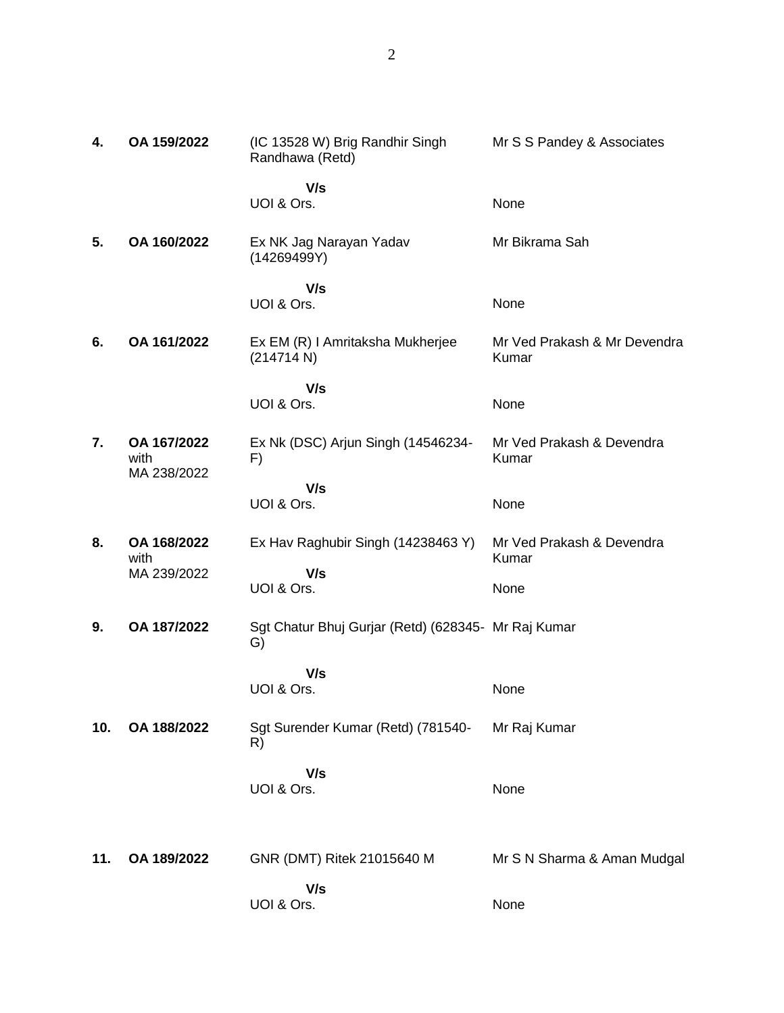| 4.  | OA 159/2022                        | (IC 13528 W) Brig Randhir Singh<br>Randhawa (Retd)        | Mr S S Pandey & Associates            |
|-----|------------------------------------|-----------------------------------------------------------|---------------------------------------|
|     |                                    | V/s<br>UOI & Ors.                                         | None                                  |
| 5.  | OA 160/2022                        | Ex NK Jag Narayan Yadav<br>(14269499Y)                    | Mr Bikrama Sah                        |
|     |                                    | V/s<br>UOI & Ors.                                         | None                                  |
| 6.  | OA 161/2022                        | Ex EM (R) I Amritaksha Mukherjee<br>(214714 N)            | Mr Ved Prakash & Mr Devendra<br>Kumar |
|     |                                    | V/s<br>UOI & Ors.                                         | None                                  |
| 7.  | OA 167/2022<br>with<br>MA 238/2022 | Ex Nk (DSC) Arjun Singh (14546234-<br>F)                  | Mr Ved Prakash & Devendra<br>Kumar    |
|     |                                    | V/s<br>UOI & Ors.                                         | None                                  |
| 8.  | OA 168/2022<br>with                | Ex Hav Raghubir Singh (14238463 Y)                        | Mr Ved Prakash & Devendra<br>Kumar    |
|     | MA 239/2022                        | V/s<br>UOI & Ors.                                         | None                                  |
| 9.  | OA 187/2022                        | Sgt Chatur Bhuj Gurjar (Retd) (628345- Mr Raj Kumar<br>G) |                                       |
|     |                                    | V/s<br>UOI & Ors.                                         | None                                  |
| 10. | OA 188/2022                        | Sgt Surender Kumar (Retd) (781540-<br>R)                  | Mr Raj Kumar                          |
|     |                                    | V/s<br>UOI & Ors.                                         | None                                  |
| 11. | OA 189/2022                        | GNR (DMT) Ritek 21015640 M                                | Mr S N Sharma & Aman Mudgal           |
|     |                                    | V/s<br>UOI & Ors.                                         | None                                  |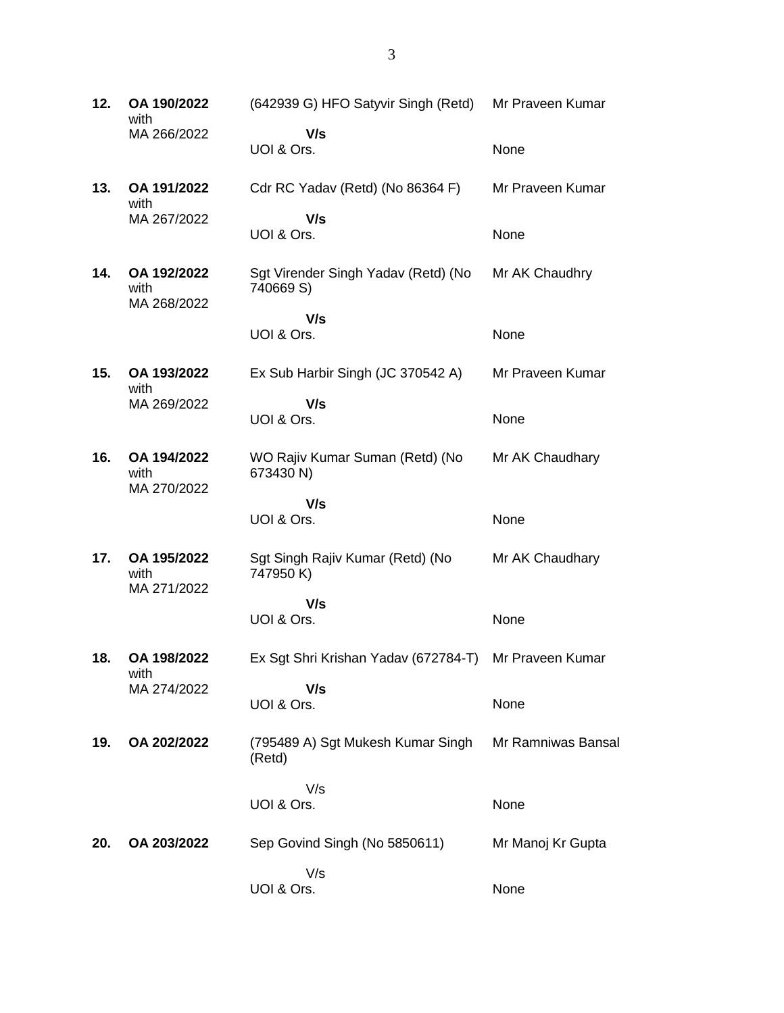**12. OA 190/2022** with MA 266/2022 (642939 G) HFO Satyvir Singh (Retd)  **V/s** UOI & Ors. Mr Praveen Kumar None **13. OA 191/2022** with MA 267/2022 Cdr RC Yadav (Retd) (No 86364 F)  **V/s** UOI & Ors. Mr Praveen Kumar None **14. OA 192/2022** with MA 268/2022 Sgt Virender Singh Yadav (Retd) (No 740669 S)  **V/s** UOI & Ors. Mr AK Chaudhry None **15. OA 193/2022** with MA 269/2022 Ex Sub Harbir Singh (JC 370542 A)  **V/s** UOI & Ors. Mr Praveen Kumar None **16. OA 194/2022** with MA 270/2022 WO Rajiv Kumar Suman (Retd) (No 673430 N)  **V/s** UOI & Ors. Mr AK Chaudhary None **17. OA 195/2022** with MA 271/2022 Sgt Singh Rajiv Kumar (Retd) (No 747950 K)  **V/s** UOI & Ors. Mr AK Chaudhary None **18. OA 198/2022** with MA 274/2022 Ex Sgt Shri Krishan Yadav (672784-T)  **V/s** UOI & Ors. Mr Praveen Kumar None **19. OA 202/2022** (795489 A) Sgt Mukesh Kumar Singh (Retd) V/s UOI & Ors. Mr Ramniwas Bansal None **20. OA 203/2022** Sep Govind Singh (No 5850611) V/s UOI & Ors. Mr Manoj Kr Gupta None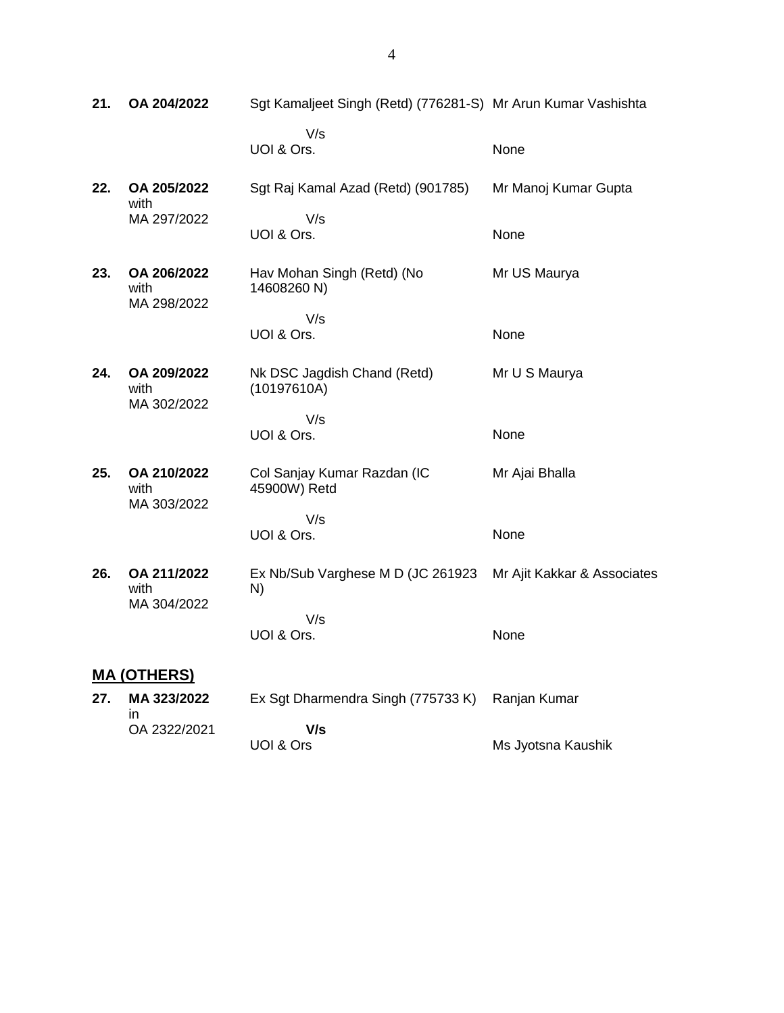| 21. | OA 204/2022                        | Sgt Kamaljeet Singh (Retd) (776281-S) Mr Arun Kumar Vashishta |                             |
|-----|------------------------------------|---------------------------------------------------------------|-----------------------------|
|     |                                    | V/s<br>UOI & Ors.                                             | None                        |
| 22. | OA 205/2022<br>with                | Sgt Raj Kamal Azad (Retd) (901785)                            | Mr Manoj Kumar Gupta        |
|     | MA 297/2022                        | V/s<br>UOI & Ors.                                             | None                        |
| 23. | OA 206/2022<br>with<br>MA 298/2022 | Hav Mohan Singh (Retd) (No<br>14608260 N)                     | Mr US Maurya                |
|     |                                    | V/s<br>UOI & Ors.                                             | None                        |
| 24. | OA 209/2022<br>with<br>MA 302/2022 | Nk DSC Jagdish Chand (Retd)<br>(10197610A)                    | Mr U S Maurya               |
|     |                                    | V/s<br>UOI & Ors.                                             | None                        |
| 25. | OA 210/2022<br>with                | Col Sanjay Kumar Razdan (IC<br>45900W) Retd                   | Mr Ajai Bhalla              |
|     | MA 303/2022                        | V/s<br>UOI & Ors.                                             | None                        |
| 26. | OA 211/2022<br>with                | Ex Nb/Sub Varghese M D (JC 261923<br>N)                       | Mr Ajit Kakkar & Associates |
|     | MA 304/2022                        | V/s<br>UOI & Ors.                                             | None                        |
|     | <u>MA (OTHERS)</u>                 |                                                               |                             |
| 27. | MA 323/2022<br>in                  | Ex Sgt Dharmendra Singh (775733 K)                            | Ranjan Kumar                |
|     | OA 2322/2021                       | V/s<br>UOI & Ors                                              | Ms Jyotsna Kaushik          |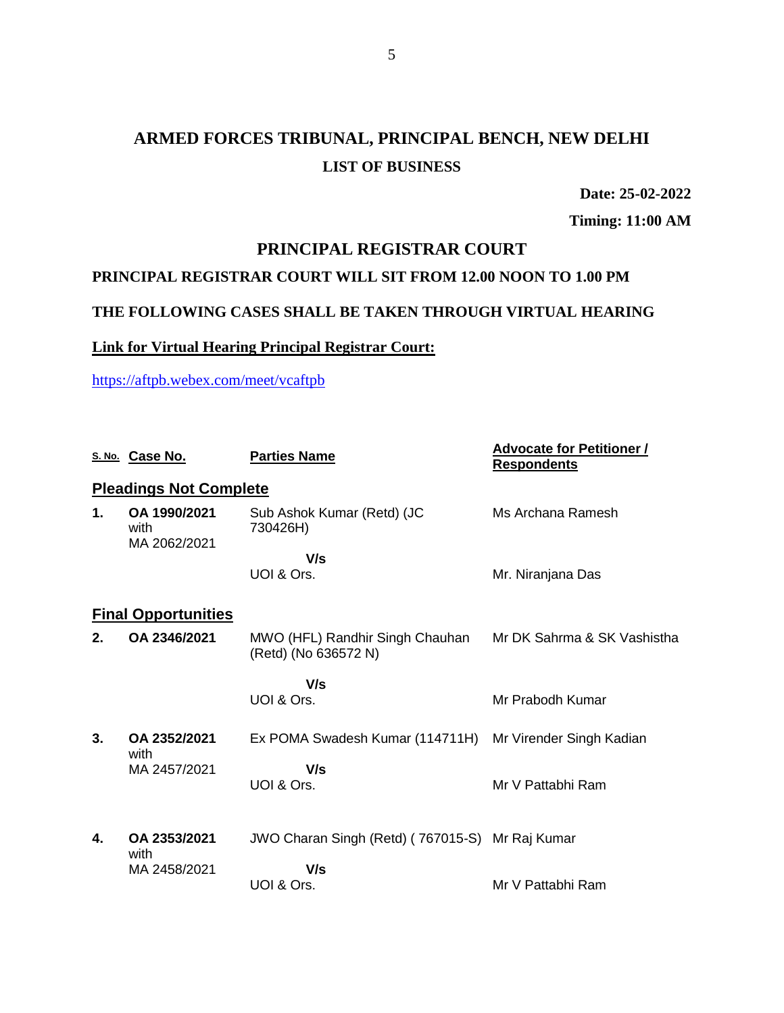# **ARMED FORCES TRIBUNAL, PRINCIPAL BENCH, NEW DELHI LIST OF BUSINESS**

**Date: 25-02-2022**

**Timing: 11:00 AM**

# **PRINCIPAL REGISTRAR COURT**

# **PRINCIPAL REGISTRAR COURT WILL SIT FROM 12.00 NOON TO 1.00 PM**

# **THE FOLLOWING CASES SHALL BE TAKEN THROUGH VIRTUAL HEARING**

# **Link for Virtual Hearing Principal Registrar Court:**

<https://aftpb.webex.com/meet/vcaftpb>

|    | S. No. Case No.                      | <b>Parties Name</b>                                                                 | <b>Advocate for Petitioner /</b><br><b>Respondents</b> |
|----|--------------------------------------|-------------------------------------------------------------------------------------|--------------------------------------------------------|
|    | <b>Pleadings Not Complete</b>        |                                                                                     |                                                        |
| 1. | OA 1990/2021<br>with<br>MA 2062/2021 | Sub Ashok Kumar (Retd) (JC<br>730426H)                                              | Ms Archana Ramesh                                      |
|    |                                      | V/s<br>UOI & Ors.                                                                   | Mr. Niranjana Das                                      |
|    | <b>Final Opportunities</b>           |                                                                                     |                                                        |
| 2. | OA 2346/2021                         | MWO (HFL) Randhir Singh Chauhan Mr DK Sahrma & SK Vashistha<br>(Retd) (No 636572 N) |                                                        |
|    |                                      | V/s                                                                                 |                                                        |
|    |                                      | UOI & Ors.                                                                          | Mr Prabodh Kumar                                       |
| 3. | OA 2352/2021<br>with                 | Ex POMA Swadesh Kumar (114711H) Mr Virender Singh Kadian                            |                                                        |
|    | MA 2457/2021                         | V/s                                                                                 |                                                        |
|    |                                      | UOI & Ors.                                                                          | Mr V Pattabhi Ram                                      |
| 4. | OA 2353/2021<br>with                 | JWO Charan Singh (Retd) (767015-S) Mr Raj Kumar                                     |                                                        |
|    | MA 2458/2021                         | V/s                                                                                 |                                                        |
|    |                                      | UOI & Ors.                                                                          | Mr V Pattabhi Ram                                      |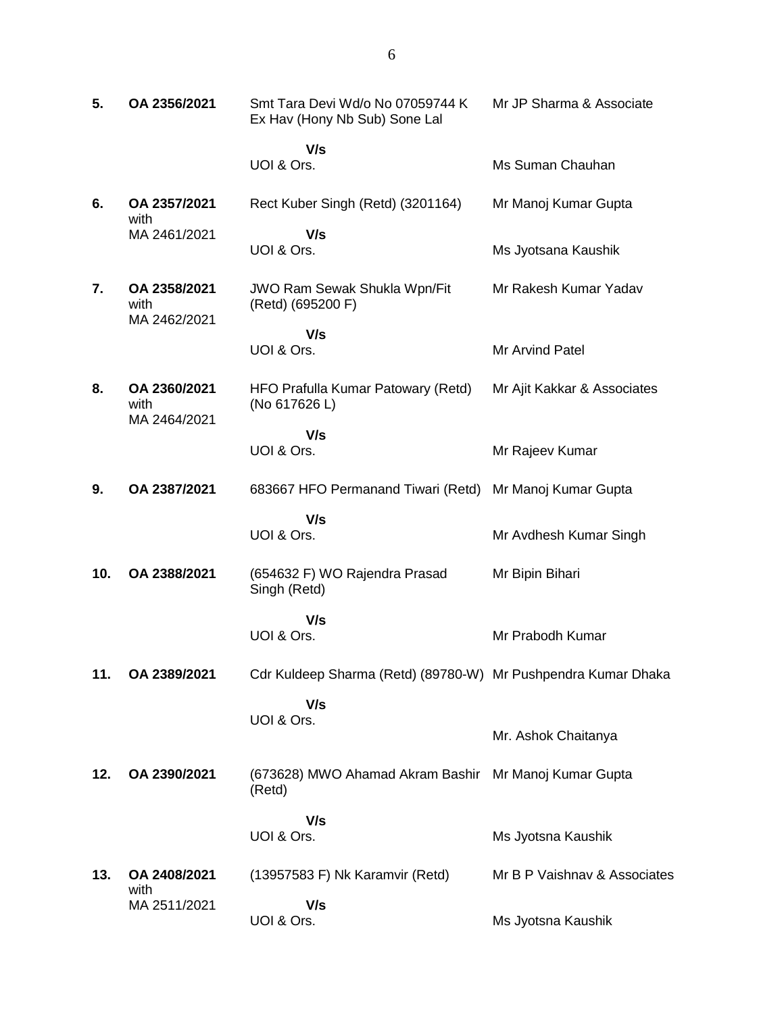| 5.  | OA 2356/2021                         | Smt Tara Devi Wd/o No 07059744 K<br>Ex Hav (Hony Nb Sub) Sone Lal | Mr JP Sharma & Associate     |
|-----|--------------------------------------|-------------------------------------------------------------------|------------------------------|
|     |                                      | V/s<br>UOI & Ors.                                                 | Ms Suman Chauhan             |
| 6.  | OA 2357/2021<br>with                 | Rect Kuber Singh (Retd) (3201164)                                 | Mr Manoj Kumar Gupta         |
|     | MA 2461/2021                         | V/s<br>UOI & Ors.                                                 | Ms Jyotsana Kaushik          |
| 7.  | OA 2358/2021<br>with<br>MA 2462/2021 | <b>JWO Ram Sewak Shukla Wpn/Fit</b><br>(Retd) (695200 F)          | Mr Rakesh Kumar Yadav        |
|     |                                      | V/s<br>UOI & Ors.                                                 | Mr Arvind Patel              |
| 8.  | OA 2360/2021<br>with                 | HFO Prafulla Kumar Patowary (Retd)<br>(No 617626 L)               | Mr Ajit Kakkar & Associates  |
|     | MA 2464/2021                         | V/s<br>UOI & Ors.                                                 | Mr Rajeev Kumar              |
| 9.  | OA 2387/2021                         | 683667 HFO Permanand Tiwari (Retd)                                | Mr Manoj Kumar Gupta         |
|     |                                      | V/s<br>UOI & Ors.                                                 | Mr Avdhesh Kumar Singh       |
| 10. | OA 2388/2021                         | (654632 F) WO Rajendra Prasad<br>Singh (Retd)                     | Mr Bipin Bihari              |
|     |                                      | V/s<br>UOI & Ors.                                                 | Mr Prabodh Kumar             |
| 11. | OA 2389/2021                         | Cdr Kuldeep Sharma (Retd) (89780-W) Mr Pushpendra Kumar Dhaka     |                              |
|     |                                      | V/s<br>UOI & Ors.                                                 | Mr. Ashok Chaitanya          |
| 12. | OA 2390/2021                         | (673628) MWO Ahamad Akram Bashir<br>(Retd)                        | Mr Manoj Kumar Gupta         |
|     |                                      | V/s<br>UOI & Ors.                                                 | Ms Jyotsna Kaushik           |
| 13. | OA 2408/2021                         | (13957583 F) Nk Karamvir (Retd)                                   | Mr B P Vaishnav & Associates |
|     | with<br>MA 2511/2021                 | V/s<br>UOI & Ors.                                                 | Ms Jyotsna Kaushik           |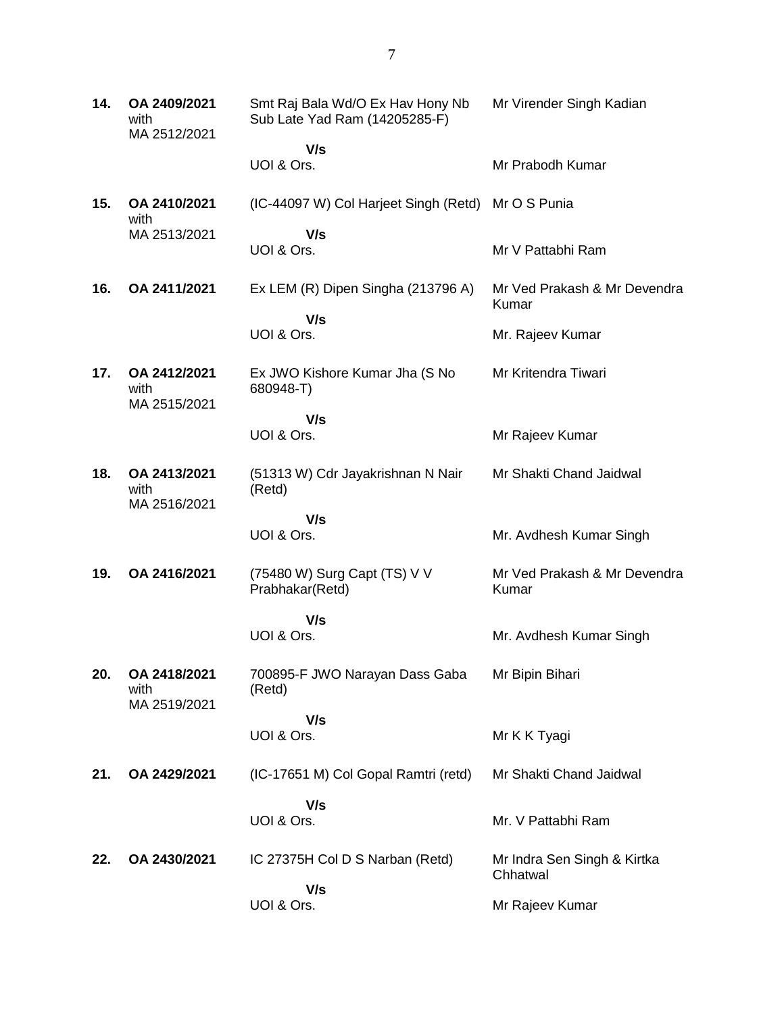**14. OA 2409/2021** with MA 2512/2021 Smt Raj Bala Wd/O Ex Hav Hony Nb Sub Late Yad Ram (14205285-F)  **V/s** UOI & Ors. Mr Virender Singh Kadian Mr Prabodh Kumar **15. OA 2410/2021** with MA 2513/2021 (IC-44097 W) Col Harjeet Singh (Retd) Mr O S Punia  **V/s** UOI & Ors. Mr V Pattabhi Ram **16. OA 2411/2021** Ex LEM (R) Dipen Singha (213796 A)  **V/s** UOI & Ors. Mr Ved Prakash & Mr Devendra Kumar Mr. Rajeev Kumar **17. OA 2412/2021** with MA 2515/2021 Ex JWO Kishore Kumar Jha (S No 680948-T)  **V/s** UOI & Ors. Mr Kritendra Tiwari Mr Rajeev Kumar **18. OA 2413/2021** with MA 2516/2021 (51313 W) Cdr Jayakrishnan N Nair (Retd)  **V/s** UOI & Ors. Mr Shakti Chand Jaidwal Mr. Avdhesh Kumar Singh **19. OA 2416/2021** (75480 W) Surg Capt (TS) V V Prabhakar(Retd)  **V/s** UOI & Ors. Mr Ved Prakash & Mr Devendra Kumar Mr. Avdhesh Kumar Singh **20. OA 2418/2021** with MA 2519/2021 700895-F JWO Narayan Dass Gaba (Retd)  **V/s** UOI & Ors. Mr Bipin Bihari Mr K K Tyagi **21. OA 2429/2021** (IC-17651 M) Col Gopal Ramtri (retd)  **V/s** UOI & Ors. Mr Shakti Chand Jaidwal Mr. V Pattabhi Ram **22. OA 2430/2021** IC 27375H Col D S Narban (Retd)  **V/s** UOI & Ors. Mr Indra Sen Singh & Kirtka Chhatwal Mr Rajeev Kumar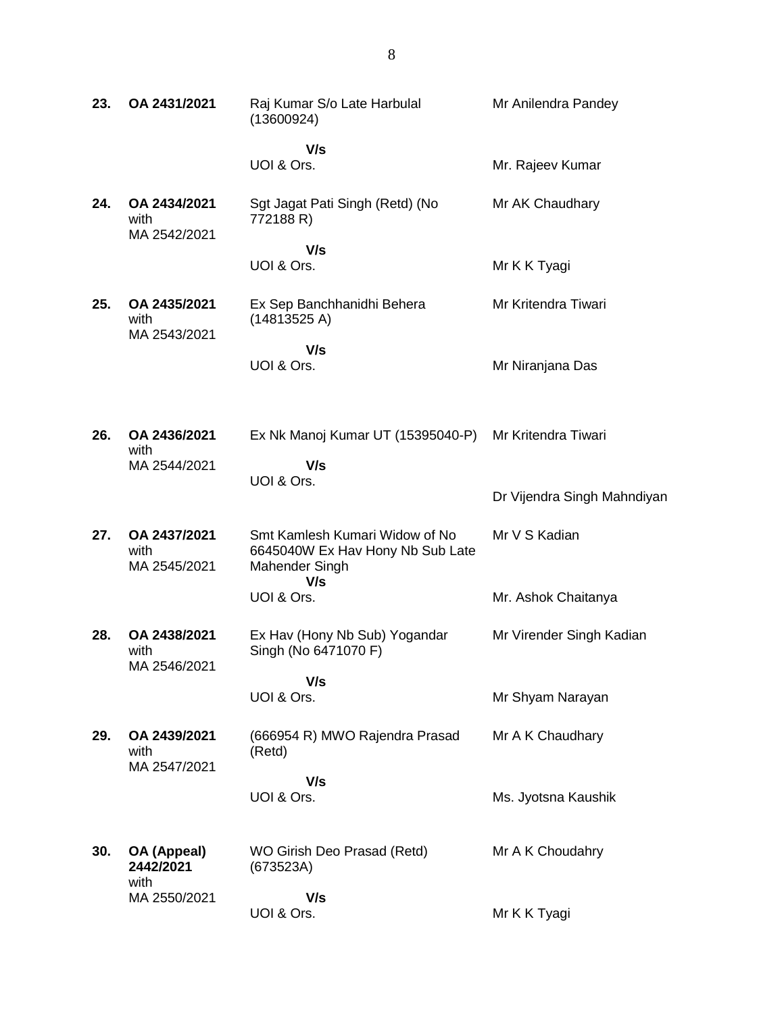| 23. | OA 2431/2021                         | Raj Kumar S/o Late Harbulal<br>(13600924)                                            | Mr Anilendra Pandey         |
|-----|--------------------------------------|--------------------------------------------------------------------------------------|-----------------------------|
|     |                                      | V/s<br>UOI & Ors.                                                                    | Mr. Rajeev Kumar            |
| 24. | OA 2434/2021<br>with<br>MA 2542/2021 | Sgt Jagat Pati Singh (Retd) (No<br>772188 R)                                         | Mr AK Chaudhary             |
|     |                                      | V/s<br>UOI & Ors.                                                                    | Mr K K Tyagi                |
| 25. | OA 2435/2021<br>with<br>MA 2543/2021 | Ex Sep Banchhanidhi Behera<br>(14813525 A)                                           | Mr Kritendra Tiwari         |
|     |                                      | V/s<br>UOI & Ors.                                                                    | Mr Niranjana Das            |
| 26. | OA 2436/2021<br>with                 | Ex Nk Manoj Kumar UT (15395040-P)                                                    | Mr Kritendra Tiwari         |
|     | MA 2544/2021                         | V/s<br>UOI & Ors.                                                                    | Dr Vijendra Singh Mahndiyan |
| 27. | OA 2437/2021<br>with<br>MA 2545/2021 | Smt Kamlesh Kumari Widow of No<br>6645040W Ex Hav Hony Nb Sub Late<br>Mahender Singh | Mr V S Kadian               |
|     |                                      | V/s<br>UOI & Ors.                                                                    | Mr. Ashok Chaitanya         |
| 28. | OA 2438/2021<br>with<br>MA 2546/2021 | Ex Hav (Hony Nb Sub) Yogandar<br>Singh (No 6471070 F)                                | Mr Virender Singh Kadian    |
|     |                                      | V/s<br>UOI & Ors.                                                                    | Mr Shyam Narayan            |
| 29. | OA 2439/2021<br>with<br>MA 2547/2021 | (666954 R) MWO Rajendra Prasad<br>(Retd)                                             | Mr A K Chaudhary            |
|     |                                      | V/s<br>UOI & Ors.                                                                    | Ms. Jyotsna Kaushik         |
| 30. | OA (Appeal)<br>2442/2021<br>with     | WO Girish Deo Prasad (Retd)<br>(673523A)                                             | Mr A K Choudahry            |
|     | MA 2550/2021                         | V/s<br>UOI & Ors.                                                                    | Mr K K Tyagi                |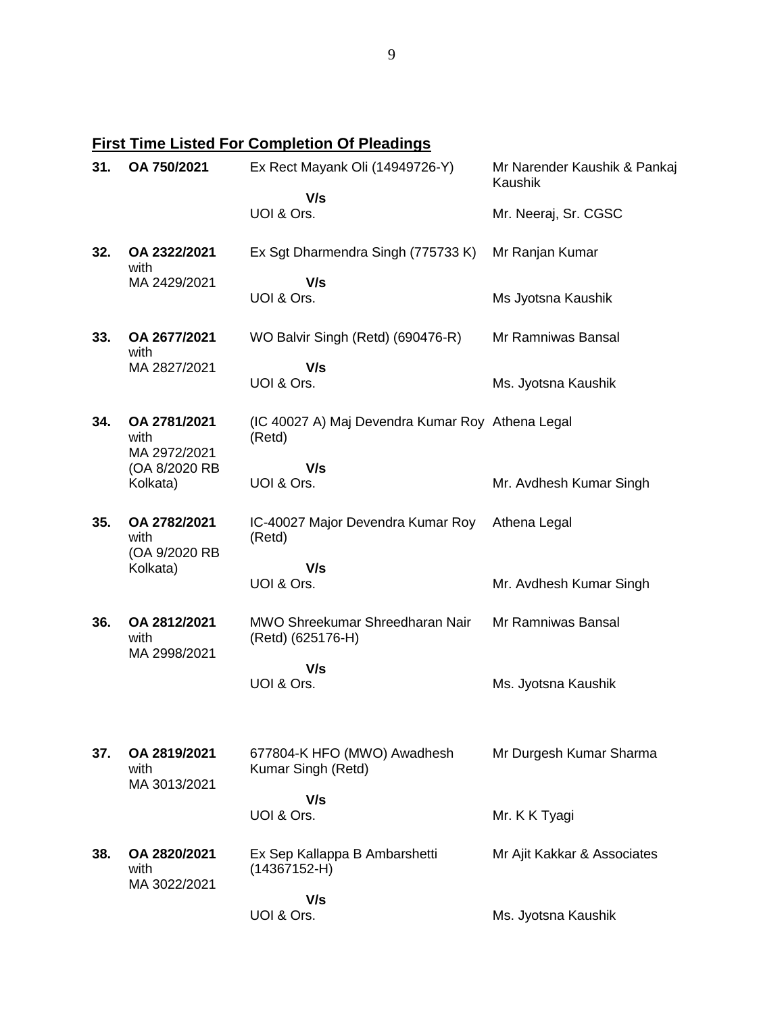# **First Time Listed For Completion Of Pleadings**

| 31. | OA 750/2021                           | Ex Rect Mayank Oli (14949726-Y)                            | Mr Narender Kaushik & Pankaj<br>Kaushik |
|-----|---------------------------------------|------------------------------------------------------------|-----------------------------------------|
|     |                                       | V/s<br>UOI & Ors.                                          | Mr. Neeraj, Sr. CGSC                    |
| 32. | OA 2322/2021<br>with                  | Ex Sgt Dharmendra Singh (775733 K)                         | Mr Ranjan Kumar                         |
|     | MA 2429/2021                          | V/s<br>UOI & Ors.                                          | Ms Jyotsna Kaushik                      |
|     |                                       |                                                            |                                         |
| 33. | OA 2677/2021<br>with                  | WO Balvir Singh (Retd) (690476-R)                          | Mr Ramniwas Bansal                      |
|     | MA 2827/2021                          | V/s                                                        |                                         |
|     |                                       | UOI & Ors.                                                 | Ms. Jyotsna Kaushik                     |
| 34. | OA 2781/2021<br>with<br>MA 2972/2021  | (IC 40027 A) Maj Devendra Kumar Roy Athena Legal<br>(Retd) |                                         |
|     | (OA 8/2020 RB                         | V/s                                                        |                                         |
|     | Kolkata)                              | UOI & Ors.                                                 | Mr. Avdhesh Kumar Singh                 |
| 35. | OA 2782/2021<br>with<br>(OA 9/2020 RB | IC-40027 Major Devendra Kumar Roy<br>(Retd)                | Athena Legal                            |
|     | Kolkata)                              | V/s                                                        |                                         |
|     |                                       | UOI & Ors.                                                 | Mr. Avdhesh Kumar Singh                 |
| 36. | OA 2812/2021<br>with<br>MA 2998/2021  | MWO Shreekumar Shreedharan Nair<br>(Retd) (625176-H)       | Mr Ramniwas Bansal                      |
|     |                                       | V/s                                                        |                                         |
|     |                                       | UOI & Ors.                                                 | Ms. Jyotsna Kaushik                     |
| 37. | OA 2819/2021                          | 677804-K HFO (MWO) Awadhesh                                | Mr Durgesh Kumar Sharma                 |
|     | with                                  | Kumar Singh (Retd)                                         |                                         |
|     | MA 3013/2021                          | V/s                                                        |                                         |
|     |                                       | UOI & Ors.                                                 | Mr. K K Tyagi                           |
| 38. | OA 2820/2021<br>with<br>MA 3022/2021  | Ex Sep Kallappa B Ambarshetti<br>$(14367152-H)$            | Mr Ajit Kakkar & Associates             |
|     |                                       | V/s                                                        |                                         |
|     |                                       | UOI & Ors.                                                 | Ms. Jyotsna Kaushik                     |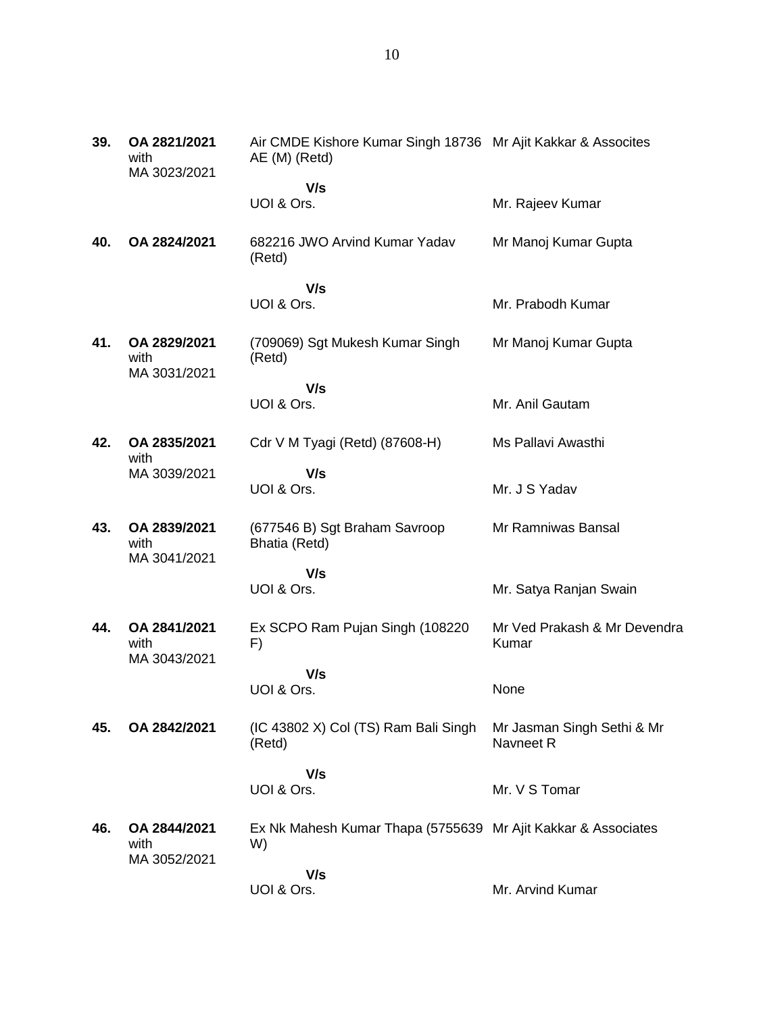| 39. | OA 2821/2021<br>with<br>MA 3023/2021 | Air CMDE Kishore Kumar Singh 18736 Mr Ajit Kakkar & Assocites<br>AE (M) (Retd) |                                         |
|-----|--------------------------------------|--------------------------------------------------------------------------------|-----------------------------------------|
|     |                                      | V/s                                                                            |                                         |
|     |                                      | UOI & Ors.                                                                     | Mr. Rajeev Kumar                        |
| 40. | OA 2824/2021                         | 682216 JWO Arvind Kumar Yadav<br>(Retd)                                        | Mr Manoj Kumar Gupta                    |
|     |                                      | V/s                                                                            |                                         |
|     |                                      | UOI & Ors.                                                                     | Mr. Prabodh Kumar                       |
| 41. | OA 2829/2021<br>with<br>MA 3031/2021 | (709069) Sgt Mukesh Kumar Singh<br>(Retd)                                      | Mr Manoj Kumar Gupta                    |
|     |                                      | V/s                                                                            |                                         |
|     |                                      | UOI & Ors.                                                                     | Mr. Anil Gautam                         |
| 42. | OA 2835/2021<br>with                 | Cdr V M Tyagi (Retd) (87608-H)                                                 | Ms Pallavi Awasthi                      |
|     | MA 3039/2021                         | V/s                                                                            |                                         |
|     |                                      | UOI & Ors.                                                                     | Mr. J S Yadav                           |
| 43. | OA 2839/2021<br>with                 | (677546 B) Sgt Braham Savroop<br>Bhatia (Retd)                                 | Mr Ramniwas Bansal                      |
|     | MA 3041/2021                         | V/s                                                                            |                                         |
|     |                                      | UOI & Ors.                                                                     | Mr. Satya Ranjan Swain                  |
| 44. | OA 2841/2021<br>with<br>MA 3043/2021 | Ex SCPO Ram Pujan Singh (108220)<br>F)                                         | Mr Ved Prakash & Mr Devendra<br>Kumar   |
|     |                                      | V/s<br>UOI & Ors.                                                              | None                                    |
|     |                                      |                                                                                |                                         |
| 45. | OA 2842/2021                         | (IC 43802 X) Col (TS) Ram Bali Singh<br>(Retd)                                 | Mr Jasman Singh Sethi & Mr<br>Navneet R |
|     |                                      | V/s<br>UOI & Ors.                                                              | Mr. V S Tomar                           |
|     |                                      |                                                                                |                                         |
| 46. | OA 2844/2021<br>with                 | Ex Nk Mahesh Kumar Thapa (5755639 Mr Ajit Kakkar & Associates<br>W)            |                                         |
|     | MA 3052/2021                         | V/s<br>UOI & Ors.                                                              | Mr. Arvind Kumar                        |